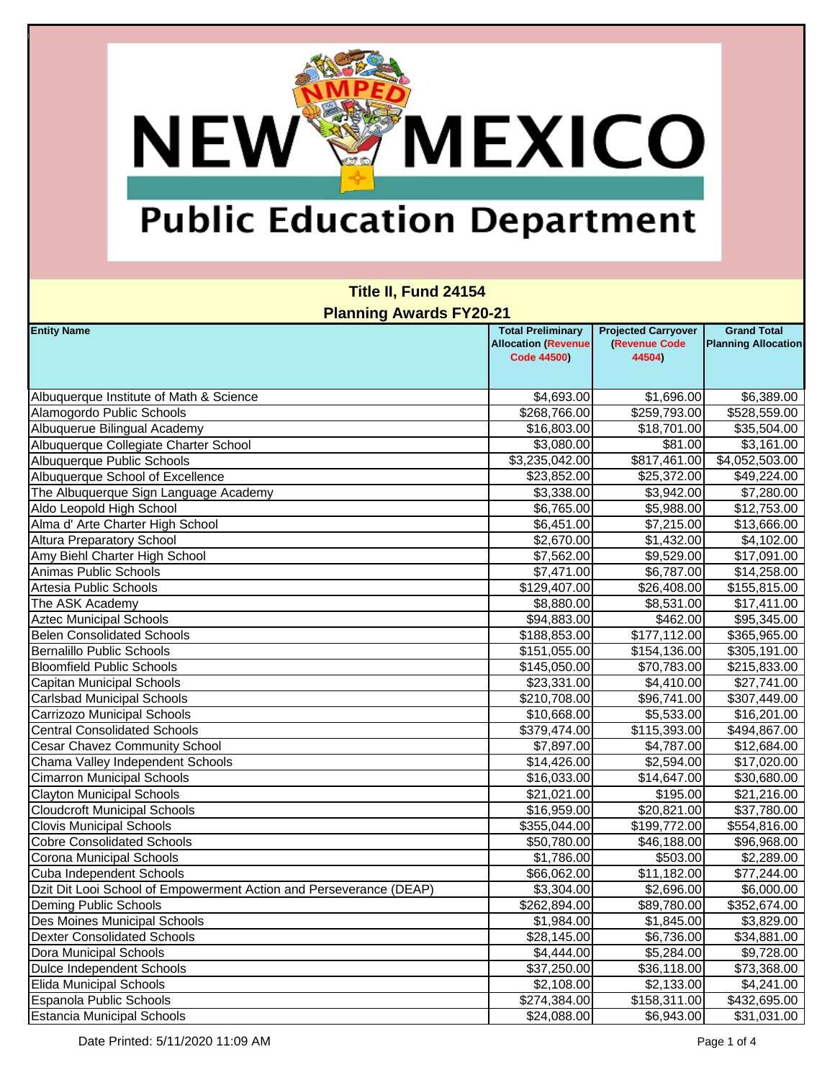**NEW** 

**MEXICO** 

| Title II, Fund 24154<br><b>Planning Awards FY20-21</b>             |                                                                              |                                                       |                                                  |  |
|--------------------------------------------------------------------|------------------------------------------------------------------------------|-------------------------------------------------------|--------------------------------------------------|--|
| <b>Entity Name</b>                                                 | <b>Total Preliminary</b><br><b>Allocation (Revenue</b><br><b>Code 44500)</b> | <b>Projected Carryover</b><br>(Revenue Code<br>44504) | <b>Grand Total</b><br><b>Planning Allocation</b> |  |
| Albuquerque Institute of Math & Science                            | \$4,693.00                                                                   | \$1,696.00                                            | \$6,389.00                                       |  |
| Alamogordo Public Schools                                          | \$268,766.00                                                                 | \$259,793.00                                          | \$528,559.00                                     |  |
| Albuquerue Bilingual Academy                                       | \$16,803.00                                                                  | \$18,701.00                                           | \$35,504.00                                      |  |
| Albuquerque Collegiate Charter School                              | \$3,080.00                                                                   | \$81.00                                               | \$3,161.00                                       |  |
| Albuquerque Public Schools                                         | \$3,235,042.00                                                               | \$817,461.00                                          | \$4,052,503.00                                   |  |
| Albuquerque School of Excellence                                   | \$23,852.00                                                                  | \$25,372.00                                           | \$49,224.00                                      |  |
| The Albuquerque Sign Language Academy                              | \$3,338.00                                                                   | \$3,942.00                                            | \$7,280.00                                       |  |
| Aldo Leopold High School                                           | \$6,765.00                                                                   | \$5,988.00                                            | \$12,753.00                                      |  |
| Alma d' Arte Charter High School                                   | \$6,451.00                                                                   | \$7,215.00                                            | \$13,666.00                                      |  |
| <b>Altura Preparatory School</b>                                   | \$2,670.00                                                                   | \$1,432.00                                            | \$4,102.00                                       |  |
| Amy Biehl Charter High School                                      | \$7,562.00                                                                   | \$9,529.00                                            | \$17,091.00                                      |  |
| Animas Public Schools                                              | \$7,471.00                                                                   | \$6,787.00                                            | \$14,258.00                                      |  |
| Artesia Public Schools                                             | \$129,407.00                                                                 | \$26,408.00                                           | \$155,815.00                                     |  |
| The ASK Academy                                                    | \$8,880.00                                                                   | \$8,531.00                                            | \$17,411.00                                      |  |
| <b>Aztec Municipal Schools</b>                                     | \$94,883.00                                                                  | \$462.00                                              | \$95,345.00                                      |  |
| <b>Belen Consolidated Schools</b>                                  | \$188,853.00                                                                 | \$177,112.00                                          | \$365,965.00                                     |  |
| Bernalillo Public Schools                                          | \$151,055.00                                                                 | \$154,136.00                                          | \$305,191.00                                     |  |
| <b>Bloomfield Public Schools</b>                                   | \$145,050.00                                                                 | \$70,783.00                                           | $\overline{$}215,833.00$                         |  |
| Capitan Municipal Schools                                          | \$23,331.00                                                                  | \$4,410.00                                            | \$27,741.00                                      |  |
| Carlsbad Municipal Schools                                         | \$210,708.00                                                                 | \$96,741.00                                           | \$307,449.00                                     |  |
| Carrizozo Municipal Schools                                        | \$10,668.00                                                                  | \$5,533.00                                            | \$16,201.00                                      |  |
| <b>Central Consolidated Schools</b>                                | \$379,474.00                                                                 | \$115,393.00                                          | \$494,867.00                                     |  |
| <b>Cesar Chavez Community School</b>                               | \$7,897.00                                                                   | \$4,787.00                                            | \$12,684.00                                      |  |
| Chama Valley Independent Schools                                   | \$14,426.00                                                                  | \$2,594.00                                            | \$17,020.00                                      |  |
| <b>Cimarron Municipal Schools</b>                                  | \$16,033.00                                                                  | \$14,647.00                                           | \$30,680.00                                      |  |
| <b>Clayton Municipal Schools</b>                                   | \$21,021.00                                                                  | \$195.00                                              | \$21,216.00                                      |  |
| <b>Cloudcroft Municipal Schools</b>                                | \$16,959.00                                                                  | \$20,821.00                                           | \$37,780.00                                      |  |
| <b>Clovis Municipal Schools</b>                                    | \$355,044.00                                                                 | \$199,772.00                                          | \$554,816.00                                     |  |
| <b>Cobre Consolidated Schools</b>                                  | \$50,780.00                                                                  | \$46,188.00                                           | \$96,968.00                                      |  |
| Corona Municipal Schools                                           | \$1,786.00                                                                   | \$503.00                                              | \$2,289.00                                       |  |
| Cuba Independent Schools                                           | \$66,062.00                                                                  | \$11,182.00                                           | \$77,244.00                                      |  |
| Dzit Dit Looi School of Empowerment Action and Perseverance (DEAP) | \$3,304.00                                                                   | \$2,696.00                                            | \$6,000.00                                       |  |
| Deming Public Schools                                              | \$262,894.00                                                                 | \$89,780.00                                           | \$352,674.00                                     |  |
| Des Moines Municipal Schools                                       | \$1,984.00                                                                   | \$1,845.00                                            | \$3,829.00                                       |  |
| <b>Dexter Consolidated Schools</b>                                 | $\overline{$28,145.00}$                                                      | \$6,736.00                                            | \$34,881.00                                      |  |
| Dora Municipal Schools                                             | \$4,444.00                                                                   | \$5,284.00                                            | \$9,728.00                                       |  |
| Dulce Independent Schools                                          | \$37,250.00                                                                  | \$36,118.00                                           | \$73,368.00                                      |  |
| <b>Elida Municipal Schools</b>                                     | \$2,108.00                                                                   | \$2,133.00                                            | \$4,241.00                                       |  |
| Espanola Public Schools                                            | \$274,384.00                                                                 | \$158,311.00                                          | \$432,695.00                                     |  |
| <b>Estancia Municipal Schools</b>                                  | \$24,088.00                                                                  | \$6,943.00                                            | \$31,031.00                                      |  |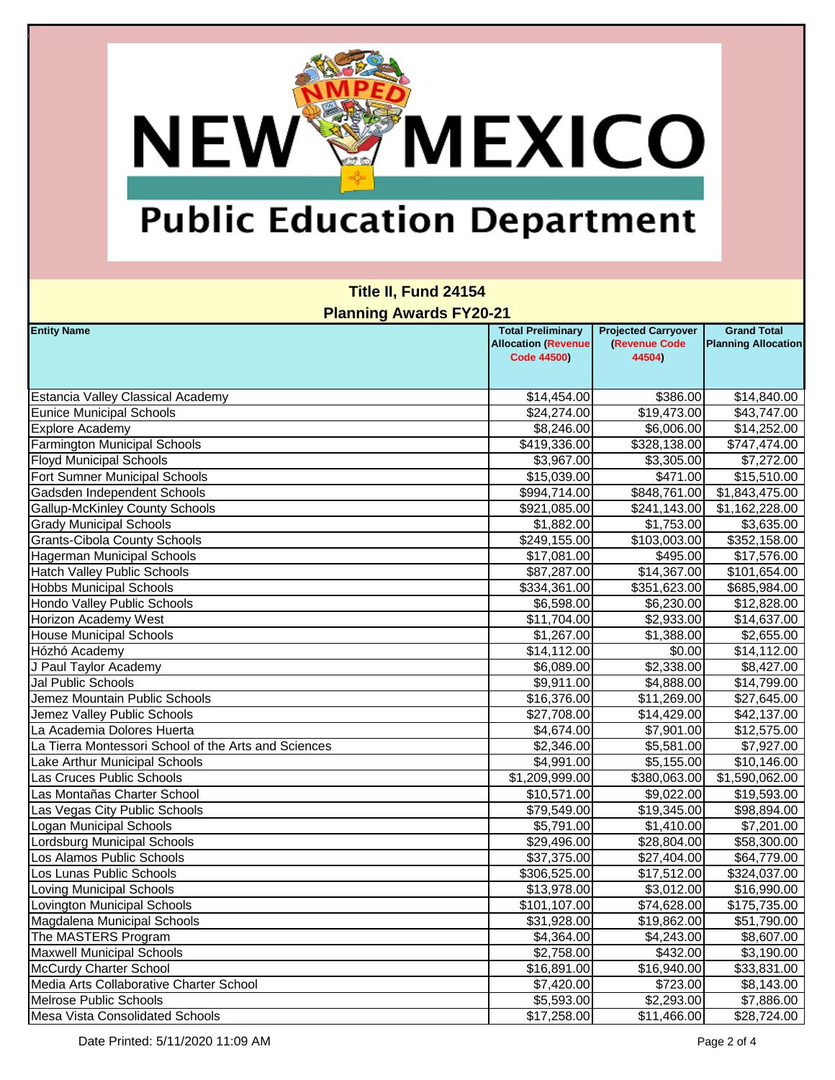**NEW** 

**MEXICO** 

| Title II, Fund 24154<br><b>Planning Awards FY20-21</b> |                                                                              |                                                       |                                                  |  |
|--------------------------------------------------------|------------------------------------------------------------------------------|-------------------------------------------------------|--------------------------------------------------|--|
| <b>Entity Name</b>                                     | <b>Total Preliminary</b><br><b>Allocation (Revenue</b><br><b>Code 44500)</b> | <b>Projected Carryover</b><br>(Revenue Code<br>44504) | <b>Grand Total</b><br><b>Planning Allocation</b> |  |
| Estancia Valley Classical Academy                      | \$14,454.00                                                                  | \$386.00                                              | \$14,840.00                                      |  |
| <b>Eunice Municipal Schools</b>                        | \$24,274.00                                                                  | \$19,473.00                                           | \$43,747.00                                      |  |
| <b>Explore Academy</b>                                 | \$8,246.00                                                                   | \$6,006.00                                            | \$14,252.00                                      |  |
| <b>Farmington Municipal Schools</b>                    | \$419,336.00                                                                 | \$328,138.00                                          | \$747,474.00                                     |  |
| <b>Floyd Municipal Schools</b>                         | \$3,967.00                                                                   | \$3,305.00                                            | \$7,272.00                                       |  |
| Fort Sumner Municipal Schools                          | \$15,039.00                                                                  | \$471.00                                              | \$15,510.00                                      |  |
| Gadsden Independent Schools                            | \$994,714.00                                                                 | \$848,761.00                                          | \$1,843,475.00                                   |  |
| <b>Gallup-McKinley County Schools</b>                  | \$921,085.00                                                                 | \$241,143.00                                          | \$1,162,228.00                                   |  |
| <b>Grady Municipal Schools</b>                         | \$1,882.00                                                                   | \$1,753.00                                            | \$3,635.00                                       |  |
| <b>Grants-Cibola County Schools</b>                    | \$249,155.00                                                                 | \$103,003.00                                          | \$352,158.00                                     |  |
| <b>Hagerman Municipal Schools</b>                      | \$17,081.00                                                                  | \$495.00                                              | \$17,576.00                                      |  |
| <b>Hatch Valley Public Schools</b>                     | \$87,287.00                                                                  | \$14,367.00                                           | \$101,654.00                                     |  |
| <b>Hobbs Municipal Schools</b>                         | \$334,361.00                                                                 | \$351,623.00                                          | \$685,984.00                                     |  |
| Hondo Valley Public Schools                            | \$6,598.00                                                                   | \$6,230.00                                            | \$12,828.00                                      |  |
| Horizon Academy West                                   | \$11,704.00                                                                  | \$2,933.00                                            | \$14,637.00                                      |  |
| <b>House Municipal Schools</b>                         | \$1,267.00                                                                   | \$1,388.00                                            | \$2,655.00                                       |  |
| Hózhó Academy                                          | \$14,112.00                                                                  | \$0.00                                                | \$14,112.00                                      |  |
| J Paul Taylor Academy                                  | \$6,089.00                                                                   | \$2,338.00                                            | \$8,427.00                                       |  |
| Jal Public Schools                                     | \$9,911.00                                                                   | \$4,888.00                                            | \$14,799.00                                      |  |
| Jemez Mountain Public Schools                          | \$16,376.00                                                                  | \$11,269.00                                           | \$27,645.00                                      |  |
| Jemez Valley Public Schools                            | \$27,708.00                                                                  | \$14,429.00                                           | \$42,137.00                                      |  |
| La Academia Dolores Huerta                             | \$4,674.00                                                                   | \$7,901.00                                            | \$12,575.00                                      |  |
| La Tierra Montessori School of the Arts and Sciences   | \$2,346.00                                                                   | \$5,581.00                                            | \$7,927.00                                       |  |
| Lake Arthur Municipal Schools                          | \$4,991.00                                                                   | \$5,155.00                                            | \$10,146.00                                      |  |
| <b>Las Cruces Public Schools</b>                       | \$1,209,999.00                                                               | \$380,063.00                                          | \$1,590,062.00                                   |  |
| Las Montañas Charter School                            | \$10,571.00                                                                  | \$9,022.00                                            | \$19,593.00                                      |  |
| Las Vegas City Public Schools                          | \$79,549.00                                                                  | \$19,345.00                                           | \$98,894.00                                      |  |
| <b>Logan Municipal Schools</b>                         | \$5,791.00                                                                   | \$1,410.00                                            | \$7,201.00                                       |  |
| Lordsburg Municipal Schools                            | \$29,496.00                                                                  | \$28,804.00                                           | \$58,300.00                                      |  |
| Los Alamos Public Schools                              | \$37,375.00                                                                  | \$27,404.00                                           | \$64,779.00                                      |  |
| Los Lunas Public Schools                               | \$306,525.00                                                                 | \$17,512.00                                           | \$324,037.00                                     |  |
| <b>Loving Municipal Schools</b>                        | \$13,978.00                                                                  | \$3,012.00                                            | \$16,990.00                                      |  |
| <b>Lovington Municipal Schools</b>                     | \$101,107.00                                                                 | \$74,628.00                                           | \$175,735.00                                     |  |
| Magdalena Municipal Schools                            | \$31,928.00                                                                  | \$19,862.00                                           | \$51,790.00                                      |  |
| The MASTERS Program                                    | \$4,364.00                                                                   | \$4,243.00                                            | \$8,607.00                                       |  |
| <b>Maxwell Municipal Schools</b>                       | \$2,758.00                                                                   | \$432.00                                              | \$3,190.00                                       |  |
| <b>McCurdy Charter School</b>                          | \$16,891.00                                                                  | \$16,940.00                                           | \$33,831.00                                      |  |
| Media Arts Collaborative Charter School                | \$7,420.00                                                                   | \$723.00                                              | \$8,143.00                                       |  |
| <b>Melrose Public Schools</b>                          | \$5,593.00                                                                   | \$2,293.00                                            | \$7,886.00                                       |  |
| <b>Mesa Vista Consolidated Schools</b>                 | \$17,258.00                                                                  | \$11,466.00                                           | \$28,724.00                                      |  |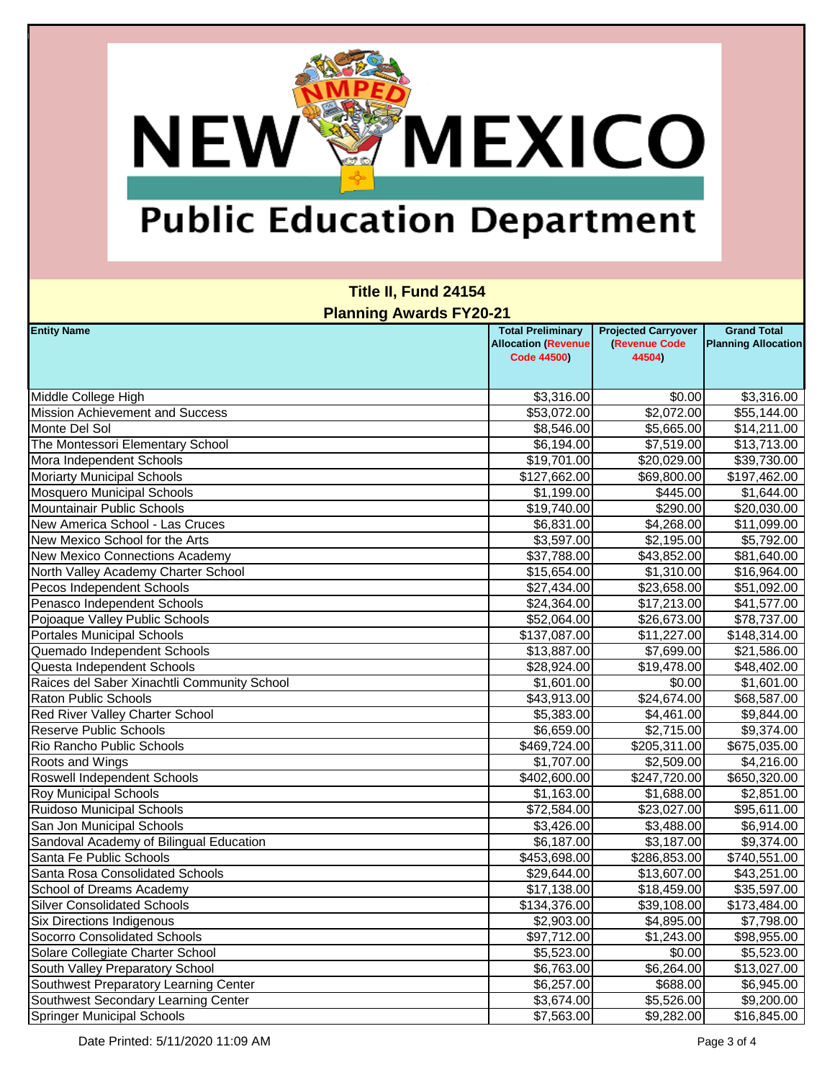**NEW®** 

**MEXICO** 

| Title II, Fund 24154<br><b>Planning Awards FY20-21</b> |                                                                              |                                                       |                                                  |  |
|--------------------------------------------------------|------------------------------------------------------------------------------|-------------------------------------------------------|--------------------------------------------------|--|
| <b>Entity Name</b>                                     | <b>Total Preliminary</b><br><b>Allocation (Revenue</b><br><b>Code 44500)</b> | <b>Projected Carryover</b><br>(Revenue Code<br>44504) | <b>Grand Total</b><br><b>Planning Allocation</b> |  |
| Middle College High                                    | \$3,316.00                                                                   | \$0.00                                                | \$3,316.00                                       |  |
| <b>Mission Achievement and Success</b>                 | \$53,072.00                                                                  | \$2,072.00                                            | \$55,144.00                                      |  |
| Monte Del Sol                                          | \$8,546.00                                                                   | \$5,665.00                                            | \$14,211.00                                      |  |
| The Montessori Elementary School                       | \$6,194.00                                                                   | \$7,519.00                                            | \$13,713.00                                      |  |
| Mora Independent Schools                               | \$19,701.00                                                                  | \$20,029.00                                           | \$39,730.00                                      |  |
| <b>Moriarty Municipal Schools</b>                      | \$127,662.00                                                                 | \$69,800.00                                           | \$197,462.00                                     |  |
| <b>Mosquero Municipal Schools</b>                      | \$1,199.00                                                                   | \$445.00                                              | \$1,644.00                                       |  |
| Mountainair Public Schools                             | \$19,740.00                                                                  | \$290.00                                              | \$20,030.00                                      |  |
| New America School - Las Cruces                        | \$6,831.00                                                                   | \$4,268.00                                            | \$11,099.00                                      |  |
| New Mexico School for the Arts                         | \$3,597.00                                                                   | \$2,195.00                                            | \$5,792.00                                       |  |
| New Mexico Connections Academy                         | \$37,788.00                                                                  | \$43,852.00                                           | \$81,640.00                                      |  |
| North Valley Academy Charter School                    | \$15,654.00                                                                  | \$1,310.00                                            | \$16,964.00                                      |  |
| Pecos Independent Schools                              | \$27,434.00                                                                  | \$23,658.00                                           | \$51,092.00                                      |  |
| Penasco Independent Schools                            | \$24,364.00                                                                  | \$17,213.00                                           | \$41,577.00                                      |  |
| Pojoaque Valley Public Schools                         | \$52,064.00                                                                  | \$26,673.00                                           | \$78,737.00                                      |  |
| <b>Portales Municipal Schools</b>                      | \$137,087.00                                                                 | \$11,227.00                                           | \$148,314.00                                     |  |
| Quemado Independent Schools                            | \$13,887.00                                                                  | \$7,699.00                                            | \$21,586.00                                      |  |
| Questa Independent Schools                             | \$28,924.00                                                                  | \$19,478.00                                           | \$48,402.00                                      |  |
| Raices del Saber Xinachtli Community School            | \$1,601.00                                                                   | \$0.00                                                | \$1,601.00                                       |  |
| <b>Raton Public Schools</b>                            | \$43,913.00                                                                  | \$24,674.00                                           | \$68,587.00                                      |  |
| Red River Valley Charter School                        | \$5,383.00                                                                   | \$4,461.00                                            | \$9,844.00                                       |  |
| <b>Reserve Public Schools</b>                          | \$6,659.00                                                                   | \$2,715.00                                            | \$9,374.00                                       |  |
| Rio Rancho Public Schools                              | \$469,724.00                                                                 | \$205,311.00                                          | \$675,035.00                                     |  |
| Roots and Wings                                        | \$1,707.00                                                                   | \$2,509.00                                            | \$4,216.00                                       |  |
| Roswell Independent Schools                            | \$402,600.00                                                                 | \$247,720.00                                          | \$650,320.00                                     |  |
| <b>Roy Municipal Schools</b>                           | \$1,163.00                                                                   | \$1,688.00                                            | \$2,851.00                                       |  |
| <b>Ruidoso Municipal Schools</b>                       | \$72,584.00                                                                  | \$23,027.00                                           | \$95,611.00                                      |  |
| San Jon Municipal Schools                              | \$3,426.00                                                                   | \$3,488.00                                            | \$6,914.00                                       |  |
| Sandoval Academy of Bilingual Education                | \$6,187.00                                                                   | \$3,187.00                                            | \$9,374.00                                       |  |
| Santa Fe Public Schools                                | \$453,698.00                                                                 | \$286,853.00                                          | \$740,551.00                                     |  |
| Santa Rosa Consolidated Schools                        | \$29,644.00                                                                  | \$13,607.00                                           | \$43,251.00                                      |  |
| School of Dreams Academy                               | \$17,138.00                                                                  | \$18,459.00                                           | \$35,597.00                                      |  |
| <b>Silver Consolidated Schools</b>                     | \$134,376.00                                                                 | \$39,108.00                                           | \$173,484.00                                     |  |
| <b>Six Directions Indigenous</b>                       | \$2,903.00                                                                   | \$4,895.00                                            | \$7,798.00                                       |  |
| Socorro Consolidated Schools                           | \$97,712.00                                                                  | \$1,243.00                                            | \$98,955.00                                      |  |
| Solare Collegiate Charter School                       | \$5,523.00                                                                   | \$0.00                                                | \$5,523.00                                       |  |
| South Valley Preparatory School                        | \$6,763.00                                                                   | \$6,264.00                                            | \$13,027.00                                      |  |
| Southwest Preparatory Learning Center                  | \$6,257.00                                                                   | \$688.00                                              | \$6,945.00                                       |  |
| Southwest Secondary Learning Center                    | \$3,674.00                                                                   | \$5,526.00                                            | \$9,200.00                                       |  |
| <b>Springer Municipal Schools</b>                      | \$7,563.00                                                                   | \$9,282.00                                            | \$16,845.00                                      |  |